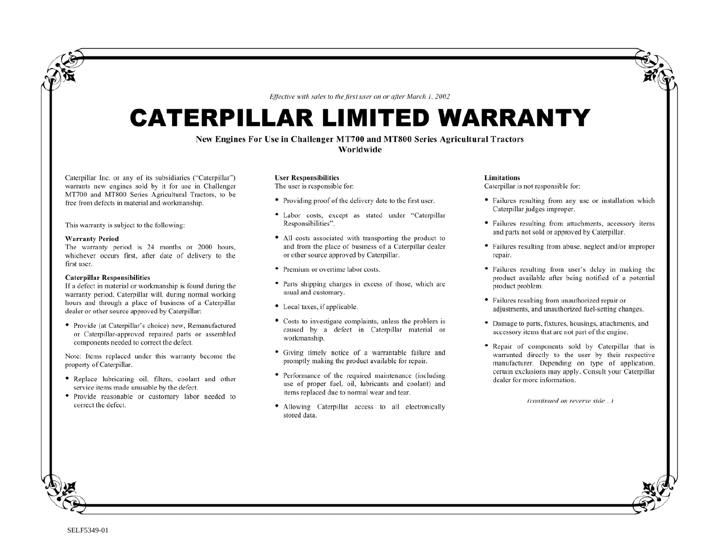*Effective with sales to the first user on or after March 1, 2002*

# CATERPILLAR LIMITED WARRANTY

## **New Engines For Use in Challenger MT700 and MT800 Series Agricultural Tractors**

**Worldwide** 

Caterpillar Inc. or any of its subsidiaries ("Caterpillar") warrants new engines sold by it for use in Challenger MT700 and MT800 Series Agricultural Tractors, to be free from defects in material and workmanship.

This warranty is subject to the following:

### **Warranty Period**

The warranty period is 24 months or 2000 hours, whichever occurs first, after date of delivery to the first user.

### **Caterpillar Responsibilities**

If a defect in material or workmanship is found during the warranty period, Caterpillar will, during normal working hours and through a place of business of a Caterpillar dealer or other source approved by Caterpillar:

• Provide (at Caterpillar's choice) new, Remanufactured or Caterpillar-approved repaired parts or assembled components needed to correct the defect.

Note: Items replaced under this warranty become the property of Caterpillar.

- Replace lubricating oil, filters, coolant and other service items made unusable by the defect.
- Provide reasonable or customary labor needed to correct the defect.

## **User Responsibilities**

The user is responsible for:

- Providing proof of the delivery date to the first user.
- Labor costs, except as stated under "Caterpillar Responsibilities".
- All costs associated with transporting the product to and from the place of business of a Caterpillar dealer or other source approved by Caterpillar.
- Premium or overtime labor costs.
- Parts shipping charges in excess of those, which are usual and customary.
- Local taxes, if applicable.
- Costs to investigate complaints, unless the problem is caused by a defect in Caterpillar material or workmanship.
- Giving timely notice of a warrantable failure and promptly making the product available for repair.
- Performance of the required maintenance (including use of proper fuel, oil, lubricants and coolant) and items replaced due to normal wear and tear.
- Allowing Caterpillar access to all electronically stored data.

### **Limitations**

Caterpillar is not responsible for:

- Failures resulting from any use or installation which Caterpillar judges improper.
- Failures resulting from attachments, accessory items and parts not sold or approved by Caterpillar.
- Failures resulting from abuse, neglect and/or improper repair.
- Failures resulting from user's delay in making the product available after being notified of a potential product problem.
- Failures resulting from unauthorized repair or adjustments, and unauthorized fuel-setting changes.
- Damage to parts, fixtures, housings, attachments, and accessory items that are not part of the engine.
- Repair of components sold by Caterpillar that is warranted directly to the user by their respective manufacturer. Depending on type of application, certain exclusions may apply. Consult your Caterpillar dealer for more information.

*(continued on reverse side…)*